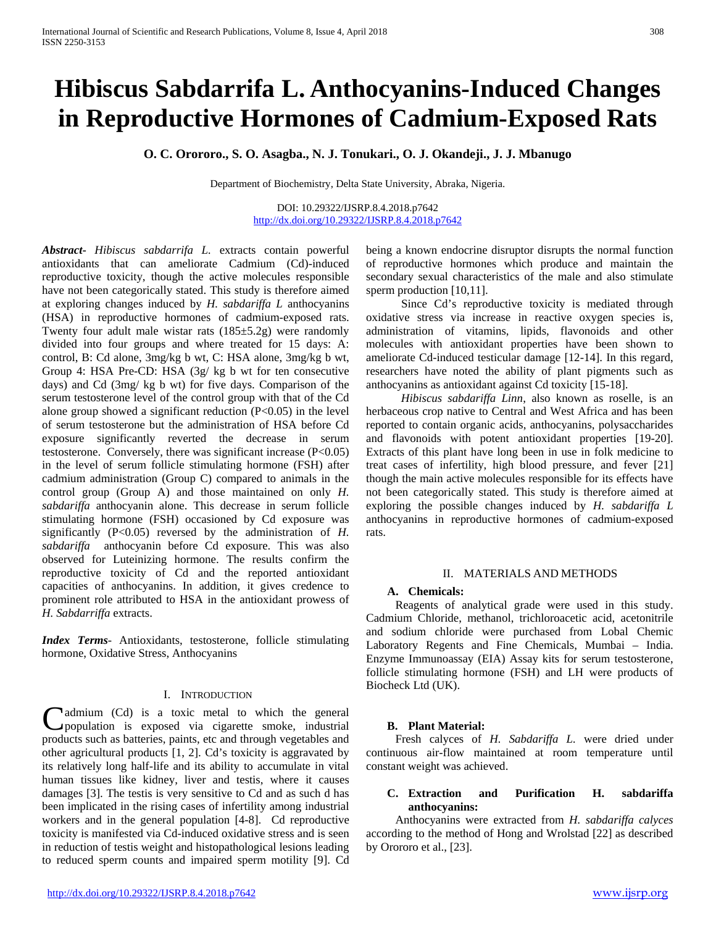# **Hibiscus Sabdarrifa L. Anthocyanins-Induced Changes in Reproductive Hormones of Cadmium-Exposed Rats**

**O. C. Orororo., S. O. Asagba., N. J. Tonukari., O. J. Okandeji., J. J. Mbanugo** 

Department of Biochemistry, Delta State University, Abraka, Nigeria.

DOI: 10.29322/IJSRP.8.4.2018.p7642 <http://dx.doi.org/10.29322/IJSRP.8.4.2018.p7642>

*Abstract***-** *Hibiscus sabdarrifa L.* extracts contain powerful antioxidants that can ameliorate Cadmium (Cd)-induced reproductive toxicity, though the active molecules responsible have not been categorically stated. This study is therefore aimed at exploring changes induced by *H. sabdariffa L* anthocyanins (HSA) in reproductive hormones of cadmium-exposed rats. Twenty four adult male wistar rats  $(185\pm5.2g)$  were randomly divided into four groups and where treated for 15 days: A: control, B: Cd alone, 3mg/kg b wt, C: HSA alone, 3mg/kg b wt, Group 4: HSA Pre-CD: HSA (3g/ kg b wt for ten consecutive days) and Cd (3mg/ kg b wt) for five days. Comparison of the serum testosterone level of the control group with that of the Cd alone group showed a significant reduction (P<0.05) in the level of serum testosterone but the administration of HSA before Cd exposure significantly reverted the decrease in serum testosterone. Conversely, there was significant increase (P<0.05) in the level of serum follicle stimulating hormone (FSH) after cadmium administration (Group C) compared to animals in the control group (Group A) and those maintained on only *H. sabdariffa* anthocyanin alone. This decrease in serum follicle stimulating hormone (FSH) occasioned by Cd exposure was significantly (P<0.05) reversed by the administration of *H. sabdariffa* anthocyanin before Cd exposure. This was also observed for Luteinizing hormone. The results confirm the reproductive toxicity of Cd and the reported antioxidant capacities of anthocyanins. In addition, it gives credence to prominent role attributed to HSA in the antioxidant prowess of *H. Sabdarriffa* extracts.

*Index Terms*- Antioxidants, testosterone, follicle stimulating hormone, Oxidative Stress, Anthocyanins

# I. INTRODUCTION

admium (Cd) is a toxic metal to which the general population is exposed via cigarette smoke, industrial Cadmium (Cd) is a toxic metal to which the general products such as batteries, paints, etc and through vegetables and  $\frac{1}{2}$ other agricultural products [1, 2]. Cd's toxicity is aggravated by its relatively long half-life and its ability to accumulate in vital human tissues like kidney, liver and testis, where it causes damages [3]. The testis is very sensitive to Cd and as such d has been implicated in the rising cases of infertility among industrial workers and in the general population [4-8]. Cd reproductive toxicity is manifested via Cd-induced oxidative stress and is seen in reduction of testis weight and histopathological lesions leading to reduced sperm counts and impaired sperm motility [9]. Cd

being a known endocrine disruptor disrupts the normal function of reproductive hormones which produce and maintain the secondary sexual characteristics of the male and also stimulate sperm production [10,11].

 Since Cd's reproductive toxicity is mediated through oxidative stress via increase in reactive oxygen species is, administration of vitamins, lipids, flavonoids and other molecules with antioxidant properties have been shown to ameliorate Cd-induced testicular damage [12-14]. In this regard, researchers have noted the ability of plant pigments such as anthocyanins as antioxidant against Cd toxicity [15-18].

 *Hibiscus sabdariffa Linn*, also known as roselle, is an herbaceous crop native to Central and West Africa and has been reported to contain organic acids, anthocyanins, polysaccharides and flavonoids with potent antioxidant properties [19-20]. Extracts of this plant have long been in use in folk medicine to treat cases of infertility, high blood pressure, and fever [21] though the main active molecules responsible for its effects have not been categorically stated. This study is therefore aimed at exploring the possible changes induced by *H. sabdariffa L* anthocyanins in reproductive hormones of cadmium-exposed rats.

# II. MATERIALS AND METHODS

# **A. Chemicals:**

 Reagents of analytical grade were used in this study. Cadmium Chloride, methanol, trichloroacetic acid, acetonitrile and sodium chloride were purchased from Lobal Chemic Laboratory Regents and Fine Chemicals, Mumbai – India. Enzyme Immunoassay (EIA) Assay kits for serum testosterone, follicle stimulating hormone (FSH) and LH were products of Biocheck Ltd (UK).

# **B. Plant Material:**

 Fresh calyces of *H. Sabdariffa L.* were dried under continuous air-flow maintained at room temperature until constant weight was achieved.

# **C. Extraction and Purification H. sabdariffa anthocyanins:**

 Anthocyanins were extracted from *H. sabdariffa calyces*  according to the method of Hong and Wrolstad [22] as described by Orororo et al., [23].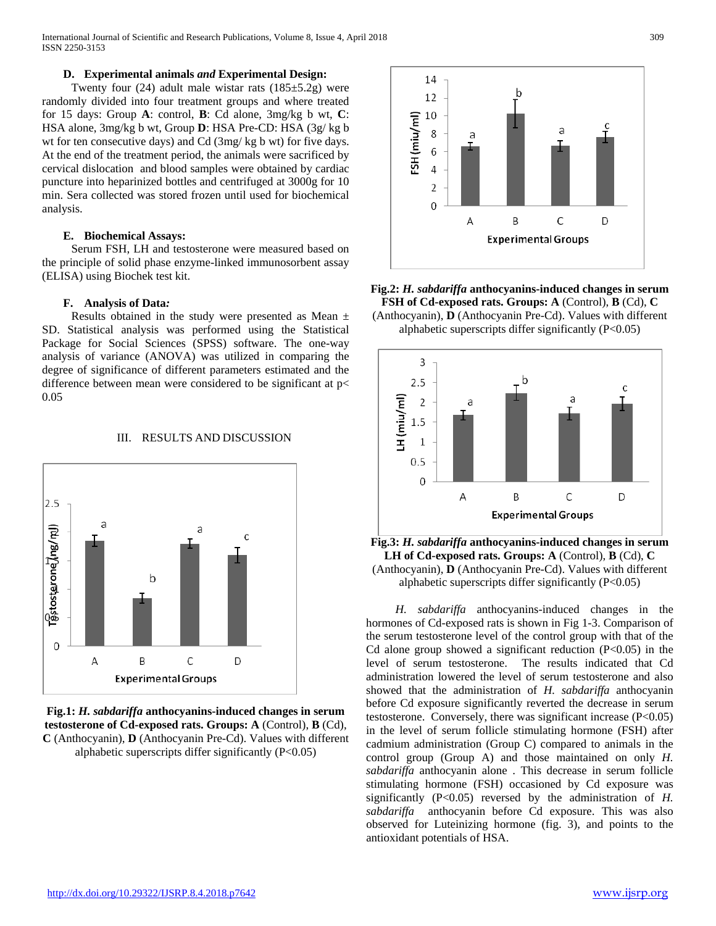International Journal of Scientific and Research Publications, Volume 8, Issue 4, April 2018 309 ISSN 2250-3153

# **D. Experimental animals** *and* **Experimental Design:**

Twenty four  $(24)$  adult male wistar rats  $(185\pm5.2g)$  were randomly divided into four treatment groups and where treated for 15 days: Group **A**: control, **B**: Cd alone, 3mg/kg b wt, **C**: HSA alone, 3mg/kg b wt, Group **D**: HSA Pre-CD: HSA (3g/ kg b wt for ten consecutive days) and Cd (3mg/ kg b wt) for five days. At the end of the treatment period, the animals were sacrificed by cervical dislocation and blood samples were obtained by cardiac puncture into heparinized bottles and centrifuged at 3000g for 10 min. Sera collected was stored frozen until used for biochemical analysis.

#### **E. Biochemical Assays:**

 Serum FSH, LH and testosterone were measured based on the principle of solid phase enzyme-linked immunosorbent assay (ELISA) using Biochek test kit.

#### **F. Analysis of Data***:*

Results obtained in the study were presented as Mean  $\pm$ SD. Statistical analysis was performed using the Statistical Package for Social Sciences (SPSS) software. The one-way analysis of variance (ANOVA) was utilized in comparing the degree of significance of different parameters estimated and the difference between mean were considered to be significant at p< 0.05

#### III. RESULTS AND DISCUSSION



**Fig.1:** *H. sabdariffa* **anthocyanins-induced changes in serum testosterone of Cd-exposed rats. Groups: A** (Control), **B** (Cd), **C** (Anthocyanin), **D** (Anthocyanin Pre-Cd). Values with different alphabetic superscripts differ significantly (P<0.05)



**Fig.2:** *H. sabdariffa* **anthocyanins-induced changes in serum FSH of Cd-exposed rats. Groups: A** (Control), **B** (Cd), **C** (Anthocyanin), **D** (Anthocyanin Pre-Cd). Values with different alphabetic superscripts differ significantly  $(P<0.05)$ 



**Fig.3:** *H. sabdariffa* **anthocyanins-induced changes in serum LH of Cd-exposed rats. Groups: A** (Control), **B** (Cd), **C** (Anthocyanin), **D** (Anthocyanin Pre-Cd). Values with different alphabetic superscripts differ significantly  $(P<0.05)$ 

 *H. sabdariffa* anthocyanins-induced changes in the hormones of Cd-exposed rats is shown in Fig 1-3. Comparison of the serum testosterone level of the control group with that of the Cd alone group showed a significant reduction  $(P<0.05)$  in the level of serum testosterone. The results indicated that Cd administration lowered the level of serum testosterone and also showed that the administration of *H. sabdariffa* anthocyanin before Cd exposure significantly reverted the decrease in serum testosterone. Conversely, there was significant increase (P<0.05) in the level of serum follicle stimulating hormone (FSH) after cadmium administration (Group C) compared to animals in the control group (Group A) and those maintained on only *H. sabdariffa* anthocyanin alone . This decrease in serum follicle stimulating hormone (FSH) occasioned by Cd exposure was significantly (P<0.05) reversed by the administration of *H. sabdariffa* anthocyanin before Cd exposure. This was also observed for Luteinizing hormone (fig. 3), and points to the antioxidant potentials of HSA.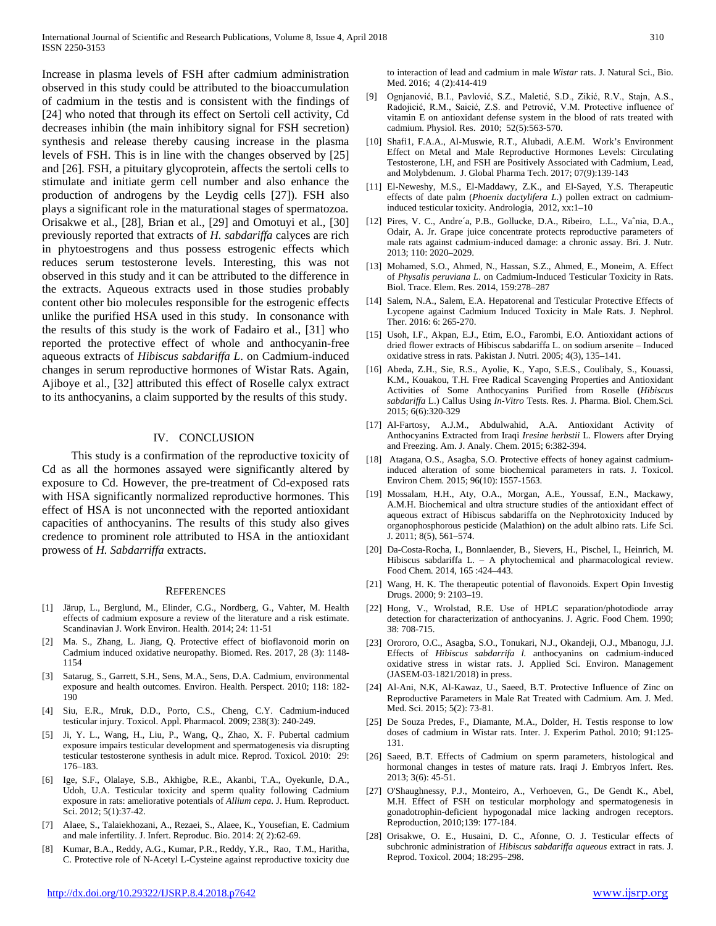Increase in plasma levels of FSH after cadmium administration observed in this study could be attributed to the bioaccumulation of cadmium in the testis and is consistent with the findings of [24] who noted that through its effect on Sertoli cell activity, Cd decreases inhibin (the main inhibitory signal for FSH secretion) synthesis and release thereby causing increase in the plasma levels of FSH. This is in line with the changes observed by [25] and [26]. FSH, a pituitary glycoprotein, affects the sertoli cells to stimulate and initiate germ cell number and also enhance the production of androgens by the Leydig cells [27]). FSH also plays a significant role in the maturational stages of spermatozoa. Orisakwe et al., [28], Brian et al., [29] and Omotuyi et al., [30] previously reported that extracts of *H. sabdariffa* calyces are rich in phytoestrogens and thus possess estrogenic effects which reduces serum testosterone levels. Interesting, this was not observed in this study and it can be attributed to the difference in the extracts. Aqueous extracts used in those studies probably content other bio molecules responsible for the estrogenic effects unlike the purified HSA used in this study. In consonance with the results of this study is the work of Fadairo et al., [31] who reported the protective effect of whole and anthocyanin-free aqueous extracts of *Hibiscus sabdariffa L*. on Cadmium-induced changes in serum reproductive hormones of Wistar Rats. Again, Ajiboye et al., [32] attributed this effect of Roselle calyx extract to its anthocyanins, a claim supported by the results of this study.

#### IV. CONCLUSION

This study is a confirmation of the reproductive toxicity of Cd as all the hormones assayed were significantly altered by exposure to Cd. However, the pre-treatment of Cd-exposed rats with HSA significantly normalized reproductive hormones. This effect of HSA is not unconnected with the reported antioxidant capacities of anthocyanins. The results of this study also gives credence to prominent role attributed to HSA in the antioxidant prowess of *H. Sabdarriffa* extracts.

#### **REFERENCES**

- [1] Järup, L., Berglund, M., Elinder, C.G., Nordberg, G., Vahter, M. Health effects of cadmium exposure a review of the literature and a risk estimate. Scandinavian J. Work Environ. Health. 2014; 24: 11-51
- [2] Ma. S., Zhang, L. Jiang, Q. Protective effect of bioflavonoid morin on Cadmium induced oxidative neuropathy. Biomed. Res. 2017, 28 (3): 1148- 1154
- [3] Satarug, S., Garrett, S.H., Sens, M.A., Sens, D.A. Cadmium, environmental exposure and health outcomes. Environ. Health. Perspect. 2010; 118: 182- 190
- [4] Siu, E.R., Mruk, D.D., Porto, C.S., Cheng, C.Y. Cadmium-induced testicular injury. Toxicol. Appl. Pharmacol*.* 2009; 238(3): 240-249.
- [5] Ji, Y. L., Wang, H., Liu, P., Wang, Q., Zhao, X. F. Pubertal cadmium exposure impairs testicular development and spermatogenesis via disrupting testicular testosterone synthesis in adult mice. Reprod. Toxicol*.* 2010: 29: 176–183.
- [6] Ige, S.F., Olalaye, S.B., Akhigbe, R.E., Akanbi, T.A., Oyekunle, D.A., Udoh, U.A. Testicular toxicity and sperm quality following Cadmium exposure in rats: ameliorative potentials of *Allium cepa*. J. Hum. Reproduct. Sci. 2012; 5(1):37-42.
- [7] Alaee, S., Talaiekhozani, A., Rezaei, S., Alaee, K., Yousefian, E. Cadmium and male infertility. J. Infert. Reproduc. Bio. 2014: 2( 2):62-69.
- [8] Kumar, B.A., Reddy, A.G., Kumar, P.R., Reddy, Y.R., Rao, T.M., Haritha, C. Protective role of N-Acetyl L-Cysteine against reproductive toxicity due

to interaction of lead and cadmium in male *Wistar* rats. J. Natural Sci., Bio. Med. 2016; 4 (2):414-419

- [9] Ognjanović, B.I., Pavlović, S.Z., Maletić, S.D., Zikić, R.V., Stajn, A.S., Radojicić, R.M., Saicić, Z.S. and Petrović, V.M. Protective influence of vitamin E on antioxidant defense system in the blood of rats treated with cadmium. Physiol*.* Res. 2010; 52(5):563-570.
- [10] Shafi1, F.A.A., Al-Muswie, R.T., Alubadi, A.E.M. Work's Environment Effect on Metal and Male Reproductive Hormones Levels: Circulating Testosterone, LH, and FSH are Positively Associated with Cadmium, Lead, and Molybdenum. J. Global Pharma Tech. 2017; 07(9):139-143
- [11] El-Neweshy, M.S., El-Maddawy, Z.K., and El-Sayed, Y.S. Therapeutic effects of date palm (*Phoenix dactylifera L*.) pollen extract on cadmiuminduced testicular toxicity. Andrologia, 2012, xx:1–10
- [12] Pires, V. C., Andre´a, P.B., Gollucke, D.A., Ribeiro, L.L., Vaˆnia, D.A., Odair, A. Jr. Grape juice concentrate protects reproductive parameters of male rats against cadmium-induced damage: a chronic assay. Bri. J. Nutr. 2013; 110: 2020–2029.
- [13] Mohamed, S.O., Ahmed, N., Hassan, S.Z., Ahmed, E., Moneim, A. Effect of *Physalis peruviana L*. on Cadmium-Induced Testicular Toxicity in Rats. Biol. Trace. Elem. Res. 2014, 159:278–287
- [14] Salem, N.A., Salem, E.A. Hepatorenal and Testicular Protective Effects of Lycopene against Cadmium Induced Toxicity in Male Rats. J. Nephrol. Ther. 2016: 6: 265-270.
- [15] Usoh, I.F., Akpan, E.J., Etim, E.O., Farombi, E.O. Antioxidant actions of dried flower extracts of Hibiscus sabdariffa L. on sodium arsenite – Induced oxidative stress in rats. Pakistan J. Nutri*.* 2005; 4(3), 135–141.
- [16] Abeda, Z.H., Sie, R.S., Ayolie, K., Yapo, S.E.S., Coulibaly, S., Kouassi, K.M., Kouakou, T.H. Free Radical Scavenging Properties and Antioxidant Activities of Some Anthocyanins Purified from Roselle (*Hibiscus sabdariffa* L.) Callus Using *In-Vitro* Tests. Res. J. Pharma. Biol. Chem.Sci. 2015; 6(6):320-329
- [17] Al-Fartosy, A.J.M., Abdulwahid, A.A. Antioxidant Activity of Anthocyanins Extracted from Iraqi *Iresine herbstii* L. Flowers after Drying and Freezing. Am. J. Analy. Chem. 2015; 6:382-394.
- [18] Atagana, O.S., Asagba, S.O. Protective effects of honey against cadmiuminduced alteration of some biochemical parameters in rats. J. Toxicol. Environ Chem*.* 2015; 96(10): 1557-1563.
- [19] Mossalam, H.H., Aty, O.A., Morgan, A.E., Youssaf, E.N., Mackawy, A.M.H. Biochemical and ultra structure studies of the antioxidant effect of aqueous extract of Hibiscus sabdariffa on the Nephrotoxicity Induced by organophosphorous pesticide (Malathion) on the adult albino rats. Life Sci. J. 2011; 8(5), 561–574.
- [20] Da-Costa-Rocha, I., Bonnlaender, B., Sievers, H., Pischel, I., Heinrich, M. Hibiscus sabdariffa L. – A phytochemical and pharmacological review. Food Chem*.* 2014, 165 :424–443.
- [21] Wang, H. K. The therapeutic potential of flavonoids. Expert Opin Investig Drugs. 2000; 9: 2103–19.
- [22] Hong, V., Wrolstad, R.E. Use of HPLC separation/photodiode array detection for characterization of anthocyanins. J. Agric. Food Chem. 1990; 38: 708-715.
- [23] Orororo, O.C., Asagba, S.O., Tonukari, N.J., Okandeji, O.J., Mbanogu, J.J. Effects of *Hibiscus sabdarrifa l.* anthocyanins on cadmium-induced oxidative stress in wistar rats. J. Applied Sci. Environ. Management (JASEM-03-1821/2018) in press.
- [24] Al-Ani, N.K, Al-Kawaz, U., Saeed, B.T. Protective Influence of Zinc on Reproductive Parameters in Male Rat Treated with Cadmium. Am. J. Med. Med. Sci. 2015; 5(2): 73-81.
- [25] De Souza Predes, F., Diamante, M.A., Dolder, H. Testis response to low doses of cadmium in Wistar rats. Inter. J. Experim Pathol. 2010; 91:125- 131.
- [26] Saeed, B.T. Effects of Cadmium on sperm parameters, histological and hormonal changes in testes of mature rats. Iraqi J. Embryos Infert. Res. 2013; 3(6): 45-51.
- [27] O'Shaughnessy, P.J., Monteiro, A., Verhoeven, G., De Gendt K., Abel, M.H. Effect of FSH on testicular morphology and spermatogenesis in gonadotrophin-deficient hypogonadal mice lacking androgen receptors. Reproduction, 2010;139: 177-184.
- [28] Orisakwe, O. E., Husaini, D. C., Afonne, O. J. Testicular effects of subchronic administration of *Hibiscus sabdariffa aqueous* extract in rats. J. Reprod. Toxicol. 2004; 18:295–298.